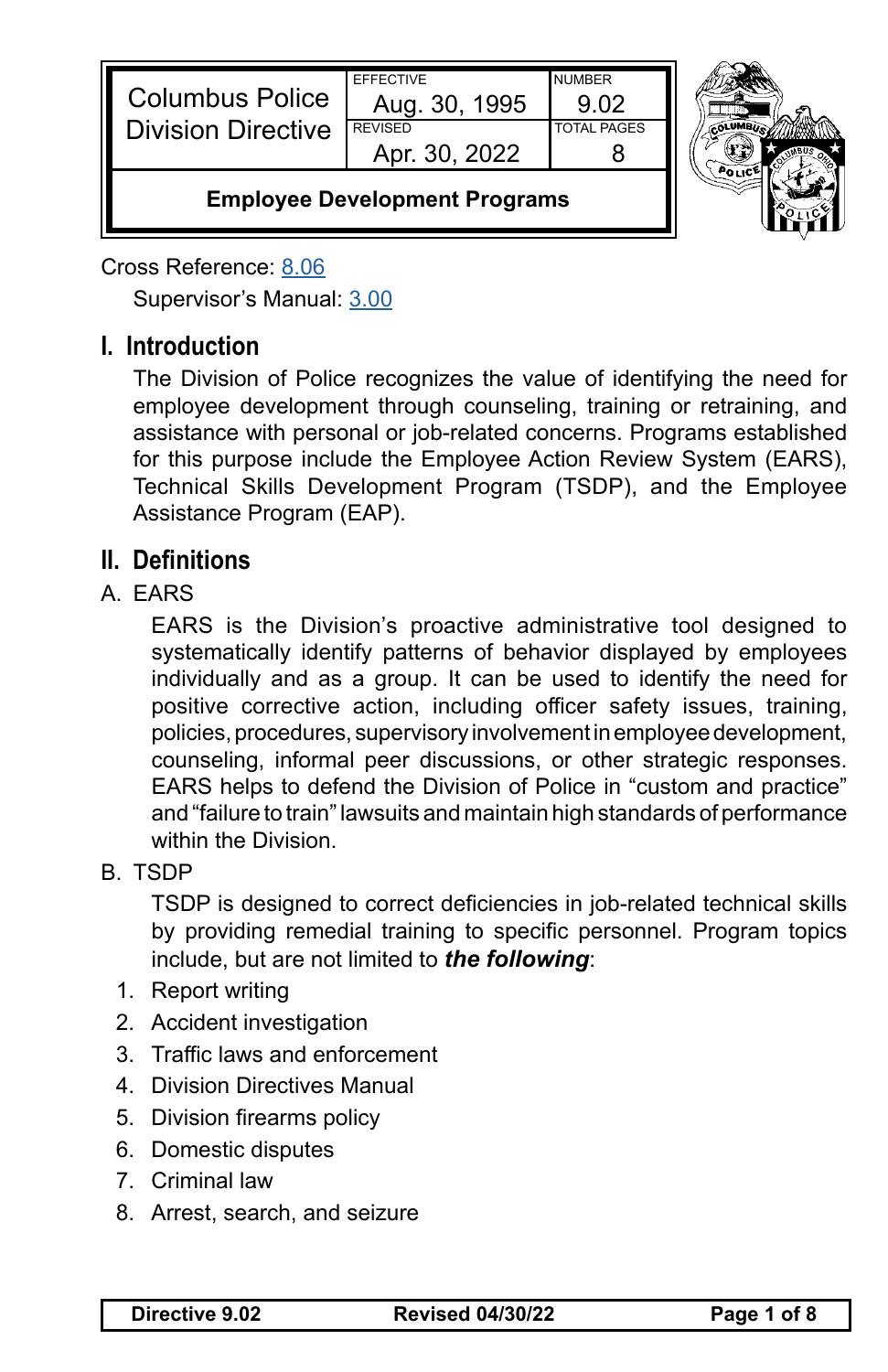| Apr. 30, 2022<br><b>Employee Development Programs</b> |                                   |                       |  |
|-------------------------------------------------------|-----------------------------------|-----------------------|--|
| <b>Division Directive</b>                             | <b>REVISED</b>                    | <b>TOTAL PAGES</b>    |  |
| <b>Columbus Police</b>                                | <b>EFFECTIVE</b><br>Aug. 30, 1995 | <b>NUMBER</b><br>9.02 |  |

Cross Reference: [8.06](https://powerdms.com/link/CBUS/document/?id=1222538)

Supervisor's Manual: [3.00](https://powerdms.com/link/CBUS/document/?id=1222743)

# **I. Introduction**

The Division of Police recognizes the value of identifying the need for employee development through counseling, training or retraining, and assistance with personal or job-related concerns. Programs established for this purpose include the Employee Action Review System (EARS), Technical Skills Development Program (TSDP), and the Employee Assistance Program (EAP).

## **II. Definitions**

## A. EARS

EARS is the Division's proactive administrative tool designed to systematically identify patterns of behavior displayed by employees individually and as a group. It can be used to identify the need for positive corrective action, including officer safety issues, training, policies, procedures, supervisory involvement in employee development, counseling, informal peer discussions, or other strategic responses. EARS helps to defend the Division of Police in "custom and practice" and "failure to train" lawsuits and maintain high standards of performance within the Division.

B. TSDP

TSDP is designed to correct deficiencies in job-related technical skills by providing remedial training to specific personnel. Program topics include, but are not limited to *the following*:

- 1. Report writing
- 2. Accident investigation
- 3. Traffic laws and enforcement
- 4. Division Directives Manual
- 5. Division firearms policy
- 6. Domestic disputes
- 7. Criminal law
- 8. Arrest, search, and seizure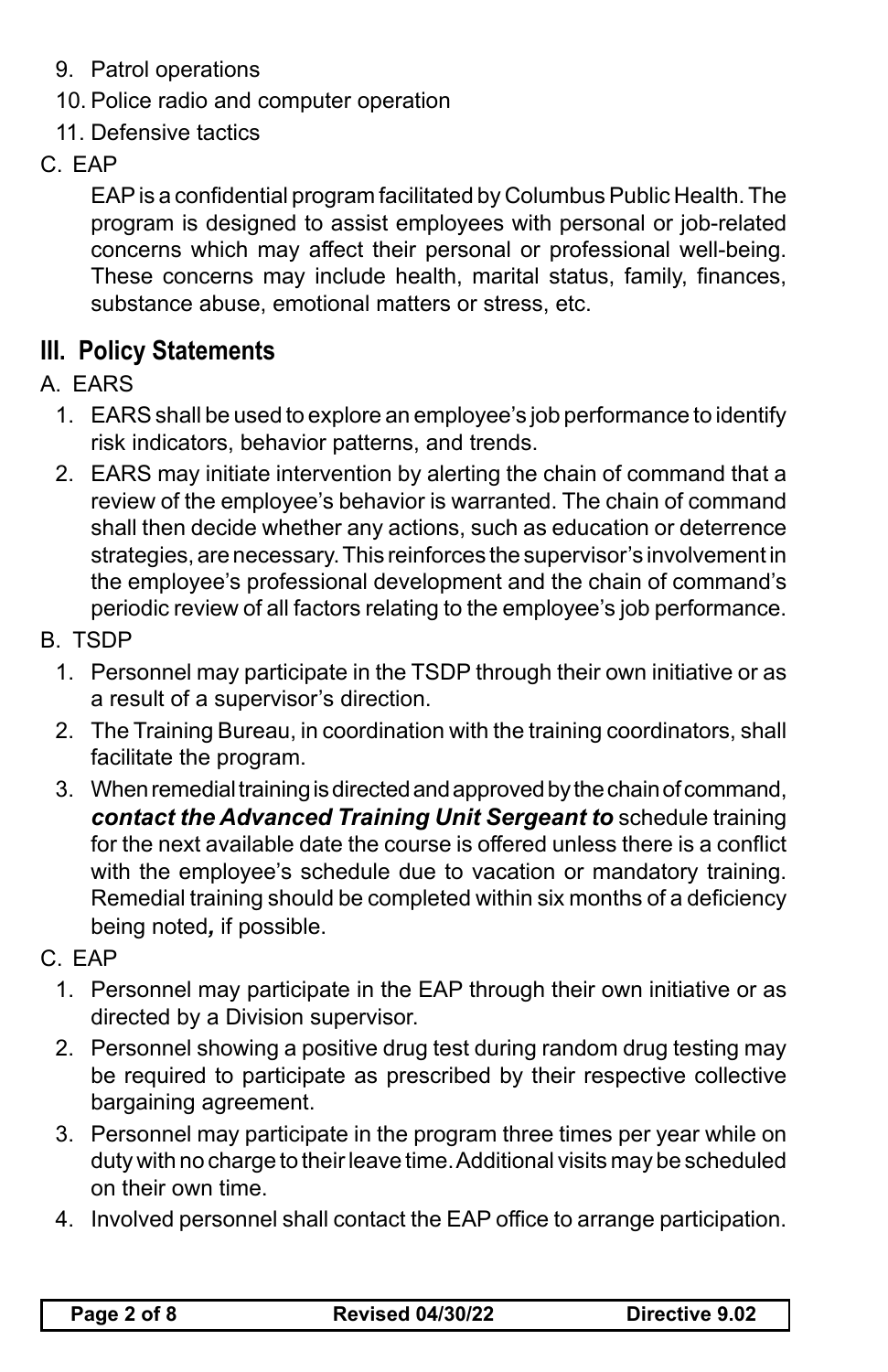- 9. Patrol operations
- 10. Police radio and computer operation
- 11. Defensive tactics
- C. EAP

EAP is a confidential program facilitated by Columbus Public Health. The program is designed to assist employees with personal or job-related concerns which may affect their personal or professional well-being. These concerns may include health, marital status, family, finances, substance abuse, emotional matters or stress, etc.

# **III. Policy Statements**

- A. EARS
	- 1. EARS shall be used to explore an employee's job performance to identify risk indicators, behavior patterns, and trends.
	- 2. EARS may initiate intervention by alerting the chain of command that a review of the employee's behavior is warranted. The chain of command shall then decide whether any actions, such as education or deterrence strategies, are necessary. This reinforces the supervisor's involvement in the employee's professional development and the chain of command's periodic review of all factors relating to the employee's job performance.
- B. TSDP
	- 1. Personnel may participate in the TSDP through their own initiative or as a result of a supervisor's direction.
	- 2. The Training Bureau, in coordination with the training coordinators, shall facilitate the program.
	- 3. When remedial training is directed and approved by the chain of command, *contact the Advanced Training Unit Sergeant to* schedule training for the next available date the course is offered unless there is a conflict with the employee's schedule due to vacation or mandatory training. Remedial training should be completed within six months of a deficiency being noted*,* if possible.
- C. EAP
	- 1. Personnel may participate in the EAP through their own initiative or as directed by a Division supervisor.
	- 2. Personnel showing a positive drug test during random drug testing may be required to participate as prescribed by their respective collective bargaining agreement.
	- 3. Personnel may participate in the program three times per year while on duty with no charge to their leave time. Additional visits may be scheduled on their own time.
	- 4. Involved personnel shall contact the EAP office to arrange participation.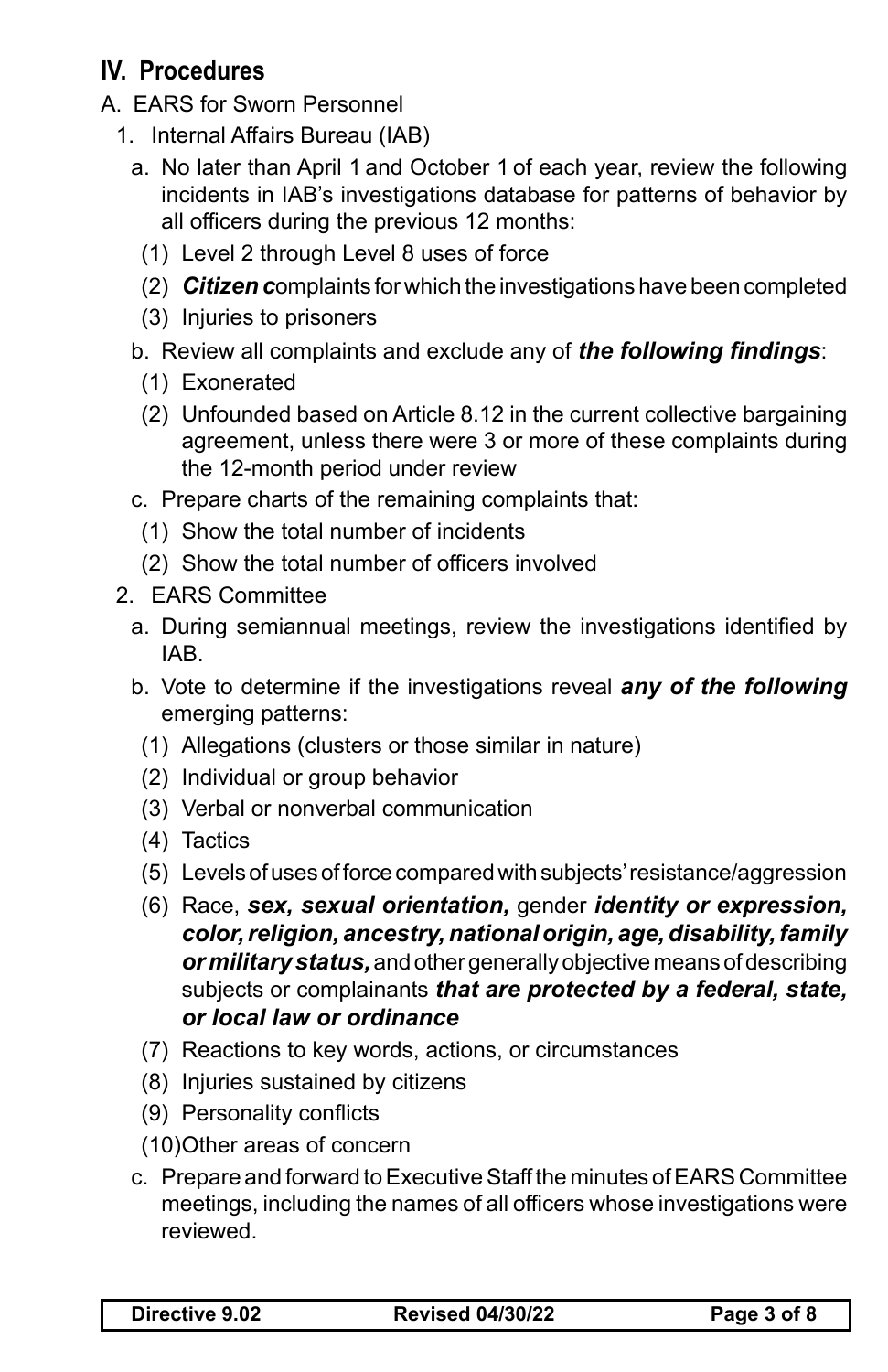# **IV. Procedures**

- A. EARS for Sworn Personnel
	- 1. Internal Affairs Bureau (IAB)
		- a. No later than April 1 and October 1 of each year, review the following incidents in IAB's investigations database for patterns of behavior by all officers during the previous 12 months:
		- (1) Level 2 through Level 8 uses of force
		- (2) *Citizen c*omplaints for which the investigations have been completed
		- (3) Injuries to prisoners
		- b. Review all complaints and exclude any of *the following findings*:
			- (1) Exonerated
			- (2) Unfounded based on Article 8.12 in the current collective bargaining agreement, unless there were 3 or more of these complaints during the 12-month period under review
		- c. Prepare charts of the remaining complaints that:
			- (1) Show the total number of incidents
			- (2) Show the total number of officers involved
	- 2. EARS Committee
		- a. During semiannual meetings, review the investigations identified by IAB.
		- b. Vote to determine if the investigations reveal *any of the following*  emerging patterns:
			- (1) Allegations (clusters or those similar in nature)
			- (2) Individual or group behavior
			- (3) Verbal or nonverbal communication
			- (4) Tactics
			- (5) Levels of uses of force compared with subjects' resistance/aggression
			- (6) Race, *sex, sexual orientation,* gender *identity or expression, color, religion, ancestry, national origin, age, disability, family or military status,* and other generally objective means of describing subjects or complainants *that are protected by a federal, state, or local law or ordinance*
			- (7) Reactions to key words, actions, or circumstances
			- (8) Injuries sustained by citizens
			- (9) Personality conflicts
			- (10)Other areas of concern
		- c. Prepare and forward to Executive Staff the minutes of EARS Committee meetings, including the names of all officers whose investigations were reviewed.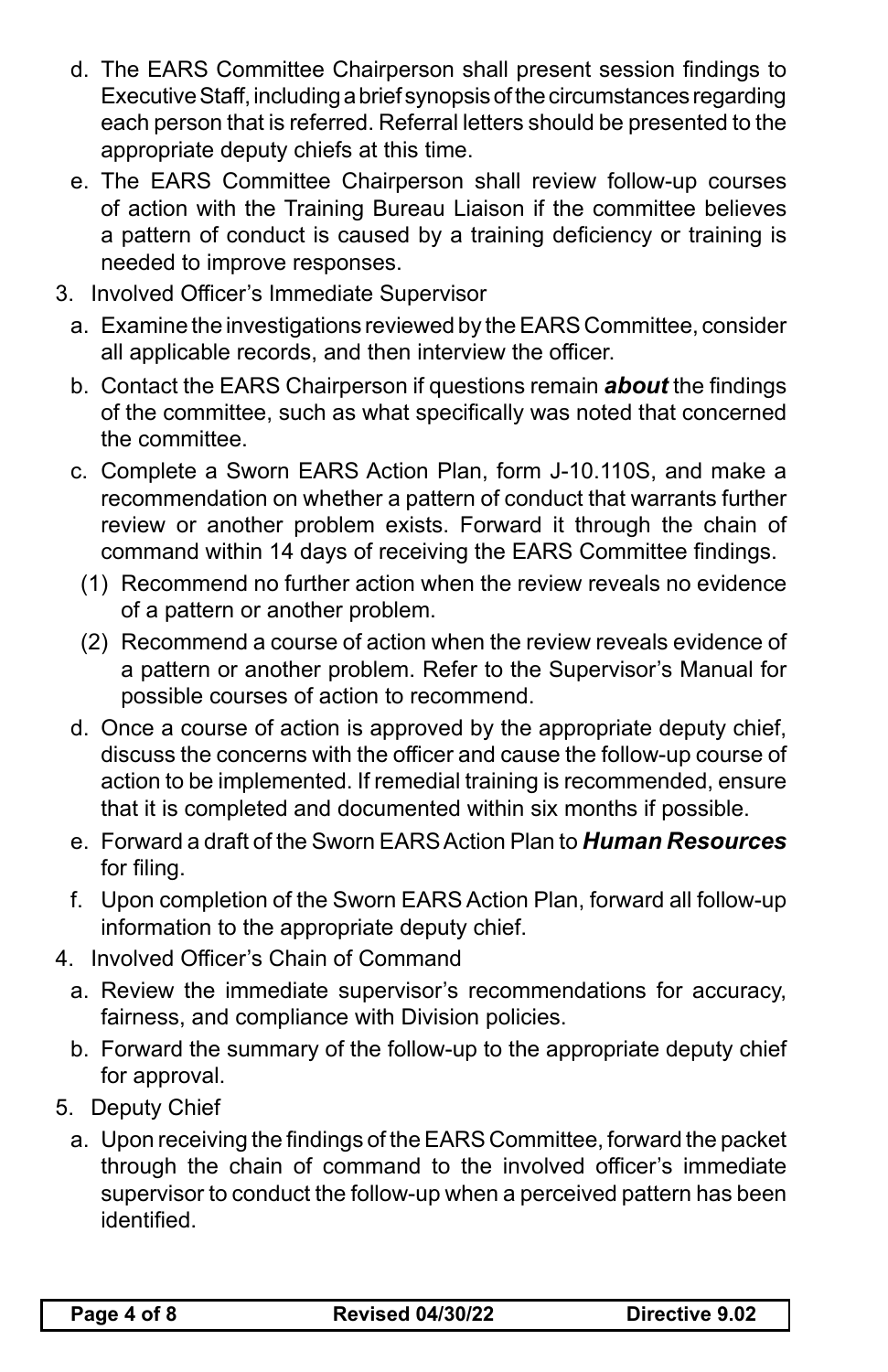- d. The EARS Committee Chairperson shall present session findings to Executive Staff, including a brief synopsis of the circumstances regarding each person that is referred. Referral letters should be presented to the appropriate deputy chiefs at this time.
- e. The EARS Committee Chairperson shall review follow-up courses of action with the Training Bureau Liaison if the committee believes a pattern of conduct is caused by a training deficiency or training is needed to improve responses.
- 3. Involved Officer's Immediate Supervisor
	- a. Examine the investigations reviewed by the EARS Committee, consider all applicable records, and then interview the officer.
	- b. Contact the EARS Chairperson if questions remain *about* the findings of the committee, such as what specifically was noted that concerned the committee.
	- c. Complete a Sworn EARS Action Plan, form J-10.110S, and make a recommendation on whether a pattern of conduct that warrants further review or another problem exists. Forward it through the chain of command within 14 days of receiving the EARS Committee findings.
		- (1) Recommend no further action when the review reveals no evidence of a pattern or another problem.
		- (2) Recommend a course of action when the review reveals evidence of a pattern or another problem. Refer to the Supervisor's Manual for possible courses of action to recommend.
	- d. Once a course of action is approved by the appropriate deputy chief, discuss the concerns with the officer and cause the follow-up course of action to be implemented. If remedial training is recommended, ensure that it is completed and documented within six months if possible.
	- e. Forward a draft of the Sworn EARS Action Plan to *Human Resources* for filing.
	- f. Upon completion of the Sworn EARS Action Plan, forward all follow-up information to the appropriate deputy chief.
- 4. Involved Officer's Chain of Command
	- a. Review the immediate supervisor's recommendations for accuracy, fairness, and compliance with Division policies.
	- b. Forward the summary of the follow-up to the appropriate deputy chief for approval.
- 5. Deputy Chief
	- a. Upon receiving the findings of the EARS Committee, forward the packet through the chain of command to the involved officer's immediate supervisor to conduct the follow-up when a perceived pattern has been identified.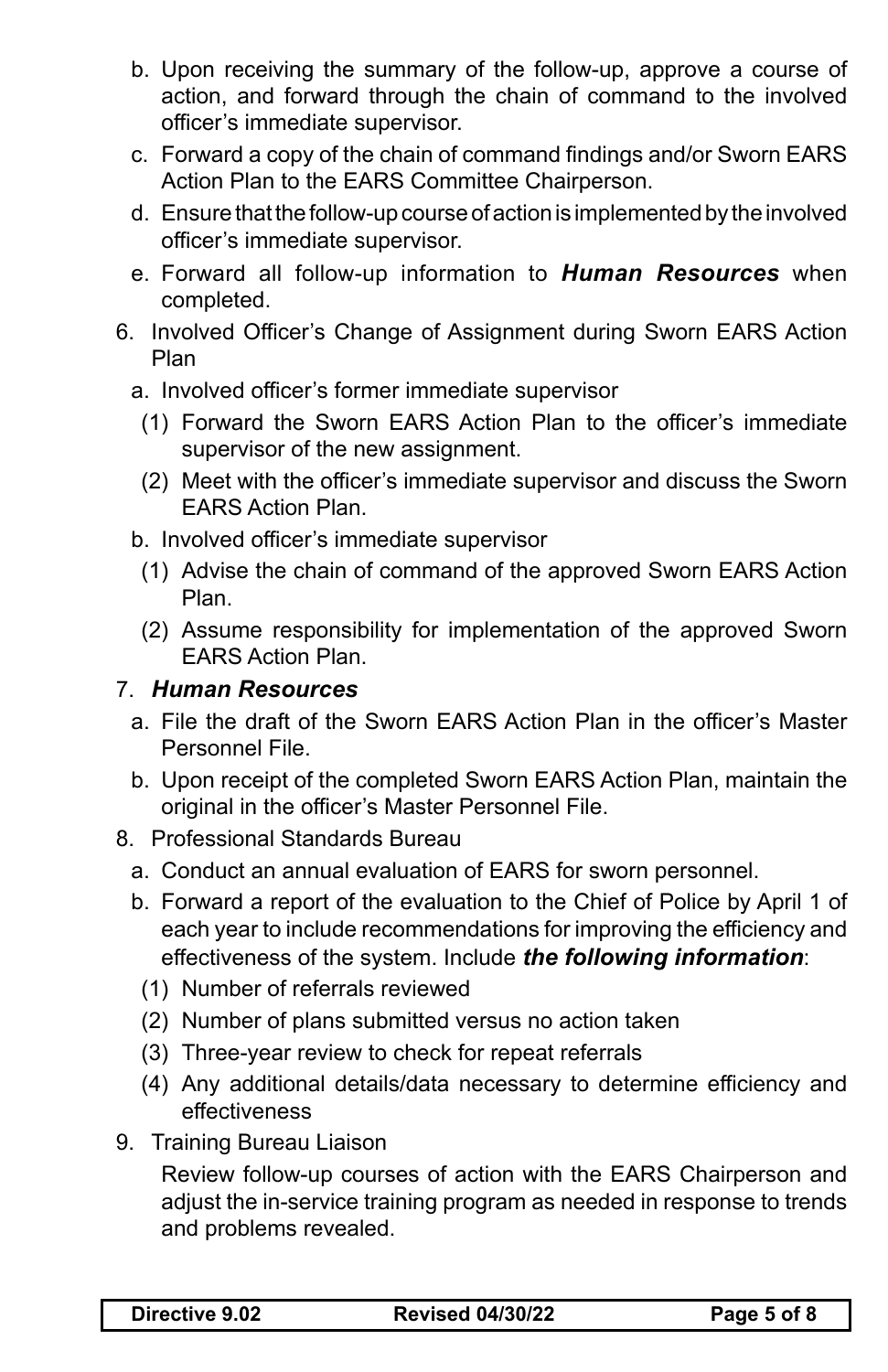- b. Upon receiving the summary of the follow-up, approve a course of action, and forward through the chain of command to the involved officer's immediate supervisor.
- c. Forward a copy of the chain of command findings and/or Sworn EARS Action Plan to the EARS Committee Chairperson.
- d. Ensure that the follow-up course of action is implemented by the involved officer's immediate supervisor.
- e. Forward all follow-up information to *Human Resources* when completed.
- 6. Involved Officer's Change of Assignment during Sworn EARS Action Plan
	- a. Involved officer's former immediate supervisor
	- (1) Forward the Sworn EARS Action Plan to the officer's immediate supervisor of the new assignment.
	- (2) Meet with the officer's immediate supervisor and discuss the Sworn EARS Action Plan.
	- b. Involved officer's immediate supervisor
		- (1) Advise the chain of command of the approved Sworn EARS Action Plan.
		- (2) Assume responsibility for implementation of the approved Sworn EARS Action Plan.

#### 7. *Human Resources*

- a. File the draft of the Sworn EARS Action Plan in the officer's Master Personnel File.
- b. Upon receipt of the completed Sworn EARS Action Plan, maintain the original in the officer's Master Personnel File.
- 8. Professional Standards Bureau
	- a. Conduct an annual evaluation of EARS for sworn personnel.
	- b. Forward a report of the evaluation to the Chief of Police by April 1 of each year to include recommendations for improving the efficiency and effectiveness of the system. Include *the following information*:
	- (1) Number of referrals reviewed
	- (2) Number of plans submitted versus no action taken
	- (3) Three-year review to check for repeat referrals
	- (4) Any additional details/data necessary to determine efficiency and effectiveness
- 9. Training Bureau Liaison

Review follow-up courses of action with the EARS Chairperson and adjust the in-service training program as needed in response to trends and problems revealed.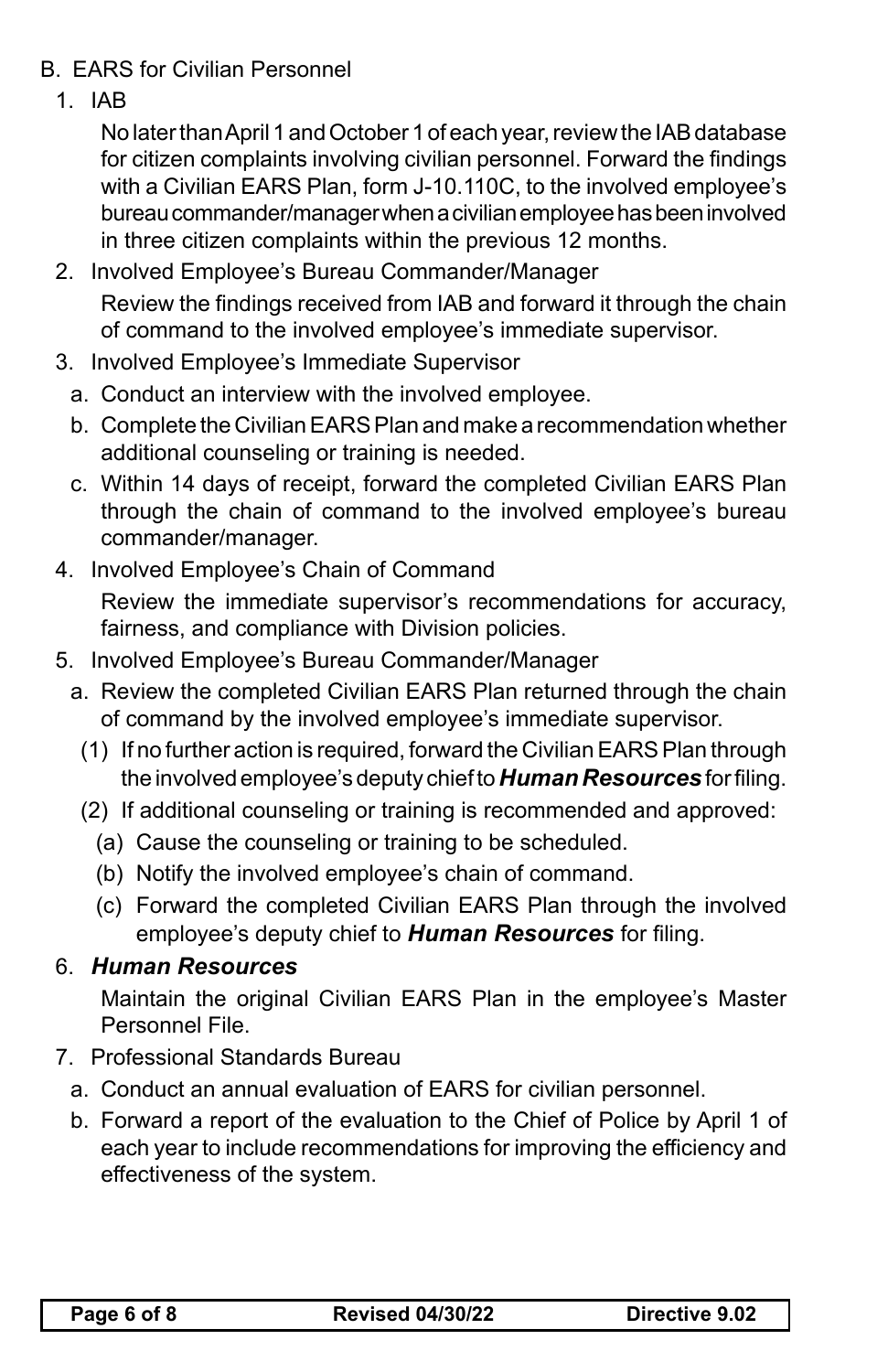- B. EARS for Civilian Personnel
	- 1. IAB

No later than April 1 and October 1 of each year, review the IAB database for citizen complaints involving civilian personnel. Forward the findings with a Civilian EARS Plan, form J-10.110C, to the involved employee's bureau commander/manager when a civilian employee has been involved in three citizen complaints within the previous 12 months.

- 2. Involved Employee's Bureau Commander/Manager Review the findings received from IAB and forward it through the chain of command to the involved employee's immediate supervisor.
- 3. Involved Employee's Immediate Supervisor
	- a. Conduct an interview with the involved employee.
	- b. Complete the Civilian EARS Plan and make a recommendation whether additional counseling or training is needed.
	- c. Within 14 days of receipt, forward the completed Civilian EARS Plan through the chain of command to the involved employee's bureau commander/manager.
- 4. Involved Employee's Chain of Command Review the immediate supervisor's recommendations for accuracy, fairness, and compliance with Division policies.
- 5. Involved Employee's Bureau Commander/Manager
	- a. Review the completed Civilian EARS Plan returned through the chain of command by the involved employee's immediate supervisor.
		- (1) If no further action is required, forward the Civilian EARS Plan through the involved employee's deputy chief to *Human Resources* for filing.
		- (2) If additional counseling or training is recommended and approved:
			- (a) Cause the counseling or training to be scheduled.
			- (b) Notify the involved employee's chain of command.
			- (c) Forward the completed Civilian EARS Plan through the involved employee's deputy chief to *Human Resources* for filing.

## 6. *Human Resources*

Maintain the original Civilian EARS Plan in the employee's Master Personnel File.

- 7. Professional Standards Bureau
	- a. Conduct an annual evaluation of EARS for civilian personnel.
	- b. Forward a report of the evaluation to the Chief of Police by April 1 of each year to include recommendations for improving the efficiency and effectiveness of the system.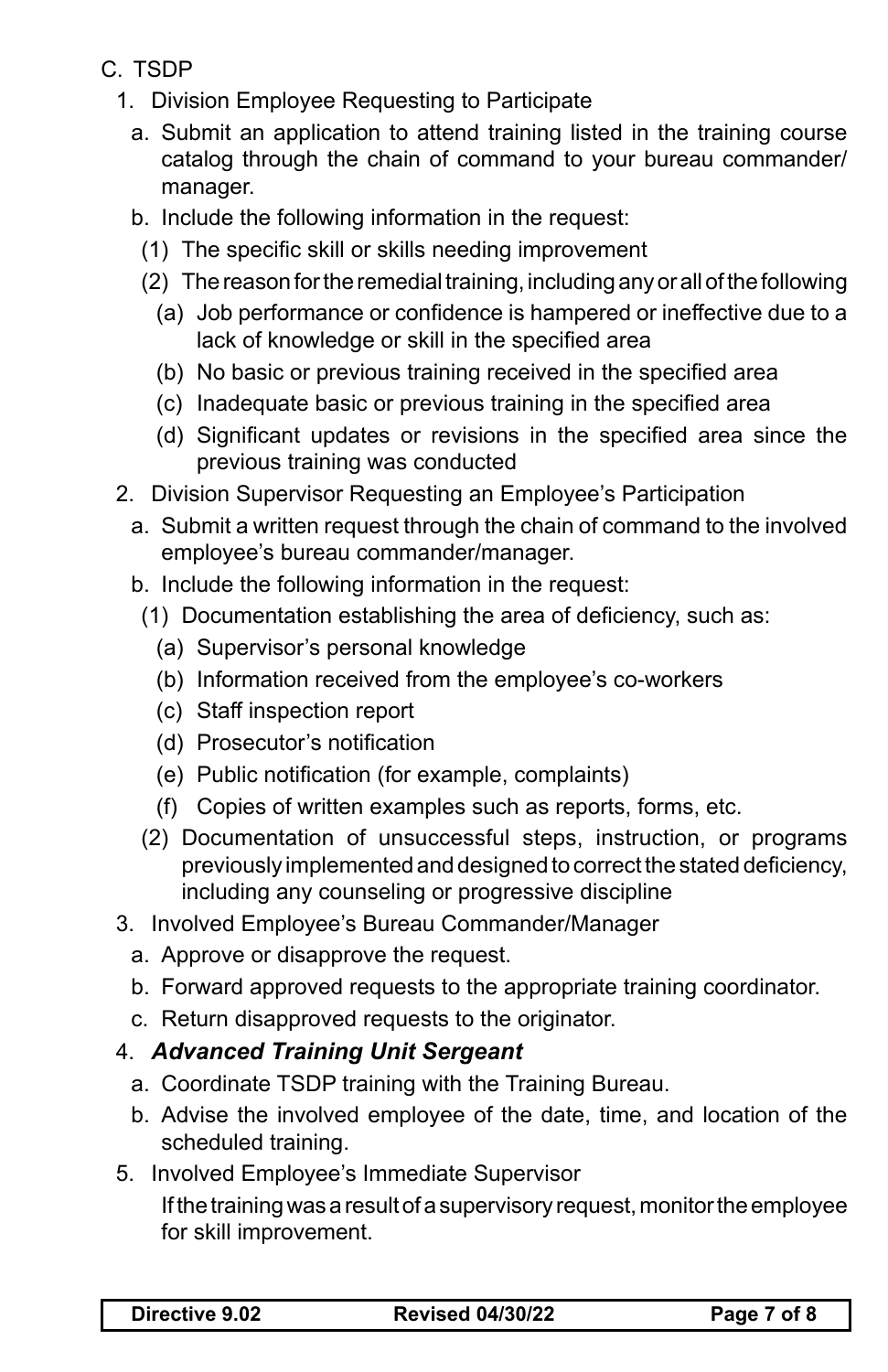- C. TSDP
	- 1. Division Employee Requesting to Participate
		- a. Submit an application to attend training listed in the training course catalog through the chain of command to your bureau commander/ manager.
		- b. Include the following information in the request:
			- (1) The specific skill or skills needing improvement
			- (2) The reason for the remedial training, including any or all of the following
				- (a) Job performance or confidence is hampered or ineffective due to a lack of knowledge or skill in the specified area
				- (b) No basic or previous training received in the specified area
				- (c) Inadequate basic or previous training in the specified area
				- (d) Significant updates or revisions in the specified area since the previous training was conducted
	- 2. Division Supervisor Requesting an Employee's Participation
		- a. Submit a written request through the chain of command to the involved employee's bureau commander/manager.
		- b. Include the following information in the request:
			- (1) Documentation establishing the area of deficiency, such as:
				- (a) Supervisor's personal knowledge
				- (b) Information received from the employee's co-workers
				- (c) Staff inspection report
				- (d) Prosecutor's notification
				- (e) Public notification (for example, complaints)
				- (f) Copies of written examples such as reports, forms, etc.
		- (2) Documentation of unsuccessful steps, instruction, or programs previously implemented and designed to correct the stated deficiency, including any counseling or progressive discipline
	- 3. Involved Employee's Bureau Commander/Manager
		- a. Approve or disapprove the request.
		- b. Forward approved requests to the appropriate training coordinator.
		- c. Return disapproved requests to the originator.

## 4. *Advanced Training Unit Sergeant*

- a. Coordinate TSDP training with the Training Bureau.
- b. Advise the involved employee of the date, time, and location of the scheduled training.
- 5. Involved Employee's Immediate Supervisor

If the training was a result of a supervisory request, monitor the employee for skill improvement.